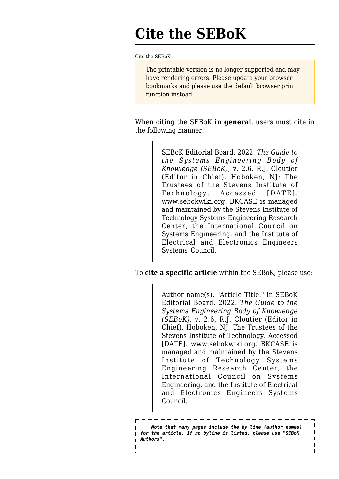## **Cite the SEBoK**

[Cite the SEBoK](http://www.sebokwiki.org/wiki/Cite_the_SEBoK)

The printable version is no longer supported and may have rendering errors. Please update your browser bookmarks and please use the default browser print function instead.

When citing the SEBoK **in general**, users must cite in the following manner:

> SEBoK Editorial Board. 2022. *The Guide to the Systems Engineering Body of Knowledge (SEBoK)*, v. 2.6, R.J. Cloutier (Editor in Chief). Hoboken, NJ: The Trustees of the Stevens Institute of Technology. Accessed [DATE]. www.sebokwiki.org. BKCASE is managed and maintained by the Stevens Institute of Technology Systems Engineering Research Center, the International Council on Systems Engineering, and the Institute of Electrical and Electronics Engineers Systems Council.

To **cite a specific article** within the SEBoK, please use:

Author name(s). "Article Title." in SEBoK Editorial Board. 2022. *The Guide to the Systems Engineering Body of Knowledge (SEBoK)*, v. 2.6, R.J. Cloutier (Editor in Chief). Hoboken, NJ: The Trustees of the Stevens Institute of Technology. Accessed [DATE]. www.sebokwiki.org. BKCASE is managed and maintained by the Stevens Institute of Technology Systems Engineering Research Center, the International Council on Systems Engineering, and the Institute of Electrical and Electronics Engineers Systems Council.

 *Note that many pages include the by line (author names) for the article. If no byline is listed, please use "SEBoK Authors".*

 $\blacksquare$  $\mathbf{I}$  $\overline{1}$  $\mathbf{I}$  $\overline{\phantom{a}}$